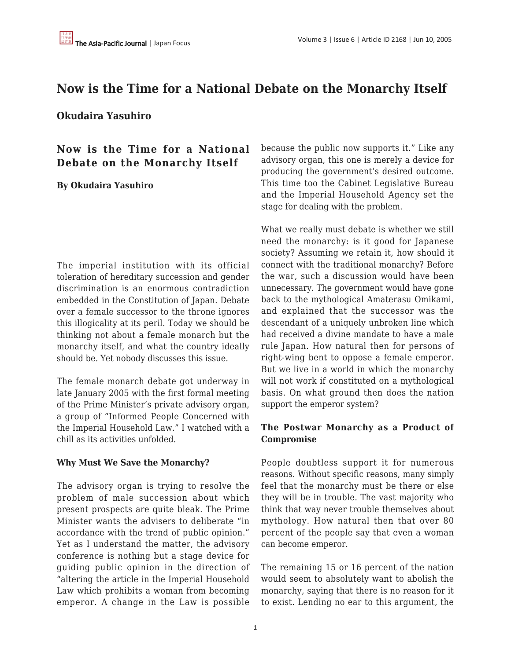# **Now is the Time for a National Debate on the Monarchy Itself**

**Okudaira Yasuhiro**

**Now is the Time for a National Debate on the Monarchy Itself**

**By Okudaira Yasuhiro**

The imperial institution with its official toleration of hereditary succession and gender discrimination is an enormous contradiction embedded in the Constitution of Japan. Debate over a female successor to the throne ignores this illogicality at its peril. Today we should be thinking not about a female monarch but the monarchy itself, and what the country ideally should be. Yet nobody discusses this issue.

The female monarch debate got underway in late January 2005 with the first formal meeting of the Prime Minister's private advisory organ, a group of "Informed People Concerned with the Imperial Household Law." I watched with a chill as its activities unfolded.

#### **Why Must We Save the Monarchy?**

The advisory organ is trying to resolve the problem of male succession about which present prospects are quite bleak. The Prime Minister wants the advisers to deliberate "in accordance with the trend of public opinion." Yet as I understand the matter, the advisory conference is nothing but a stage device for guiding public opinion in the direction of "altering the article in the Imperial Household Law which prohibits a woman from becoming emperor. A change in the Law is possible because the public now supports it." Like any advisory organ, this one is merely a device for producing the government's desired outcome. This time too the Cabinet Legislative Bureau and the Imperial Household Agency set the stage for dealing with the problem.

What we really must debate is whether we still need the monarchy: is it good for Japanese society? Assuming we retain it, how should it connect with the traditional monarchy? Before the war, such a discussion would have been unnecessary. The government would have gone back to the mythological Amaterasu Omikami, and explained that the successor was the descendant of a uniquely unbroken line which had received a divine mandate to have a male rule Japan. How natural then for persons of right-wing bent to oppose a female emperor. But we live in a world in which the monarchy will not work if constituted on a mythological basis. On what ground then does the nation support the emperor system?

### **The Postwar Monarchy as a Product of Compromise**

People doubtless support it for numerous reasons. Without specific reasons, many simply feel that the monarchy must be there or else they will be in trouble. The vast majority who think that way never trouble themselves about mythology. How natural then that over 80 percent of the people say that even a woman can become emperor.

The remaining 15 or 16 percent of the nation would seem to absolutely want to abolish the monarchy, saying that there is no reason for it to exist. Lending no ear to this argument, the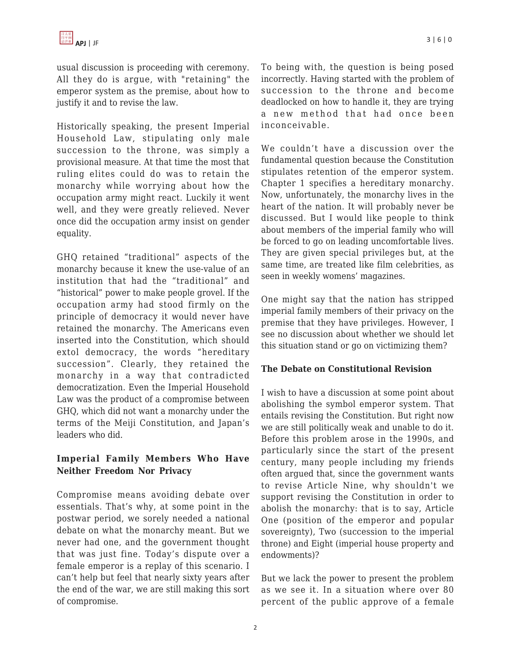usual discussion is proceeding with ceremony. All they do is argue, with "retaining" the emperor system as the premise, about how to justify it and to revise the law.

Historically speaking, the present Imperial Household Law, stipulating only male succession to the throne, was simply a provisional measure. At that time the most that ruling elites could do was to retain the monarchy while worrying about how the occupation army might react. Luckily it went well, and they were greatly relieved. Never once did the occupation army insist on gender equality.

GHQ retained "traditional" aspects of the monarchy because it knew the use-value of an institution that had the "traditional" and "historical" power to make people grovel. If the occupation army had stood firmly on the principle of democracy it would never have retained the monarchy. The Americans even inserted into the Constitution, which should extol democracy, the words "hereditary succession". Clearly, they retained the monarchy in a way that contradicted democratization. Even the Imperial Household Law was the product of a compromise between GHQ, which did not want a monarchy under the terms of the Meiji Constitution, and Japan's leaders who did.

## **Imperial Family Members Who Have Neither Freedom Nor Privacy**

Compromise means avoiding debate over essentials. That's why, at some point in the postwar period, we sorely needed a national debate on what the monarchy meant. But we never had one, and the government thought that was just fine. Today's dispute over a female emperor is a replay of this scenario. I can't help but feel that nearly sixty years after the end of the war, we are still making this sort of compromise.

To being with, the question is being posed incorrectly. Having started with the problem of succession to the throne and become deadlocked on how to handle it, they are trying a new method that had once been inconceivable.

We couldn't have a discussion over the fundamental question because the Constitution stipulates retention of the emperor system. Chapter 1 specifies a hereditary monarchy. Now, unfortunately, the monarchy lives in the heart of the nation. It will probably never be discussed. But I would like people to think about members of the imperial family who will be forced to go on leading uncomfortable lives. They are given special privileges but, at the same time, are treated like film celebrities, as seen in weekly womens' magazines.

One might say that the nation has stripped imperial family members of their privacy on the premise that they have privileges. However, I see no discussion about whether we should let this situation stand or go on victimizing them?

### **The Debate on Constitutional Revision**

I wish to have a discussion at some point about abolishing the symbol emperor system. That entails revising the Constitution. But right now we are still politically weak and unable to do it. Before this problem arose in the 1990s, and particularly since the start of the present century, many people including my friends often argued that, since the government wants to revise Article Nine, why shouldn't we support revising the Constitution in order to abolish the monarchy: that is to say, Article One (position of the emperor and popular sovereignty), Two (succession to the imperial throne) and Eight (imperial house property and endowments)?

But we lack the power to present the problem as we see it. In a situation where over 80 percent of the public approve of a female